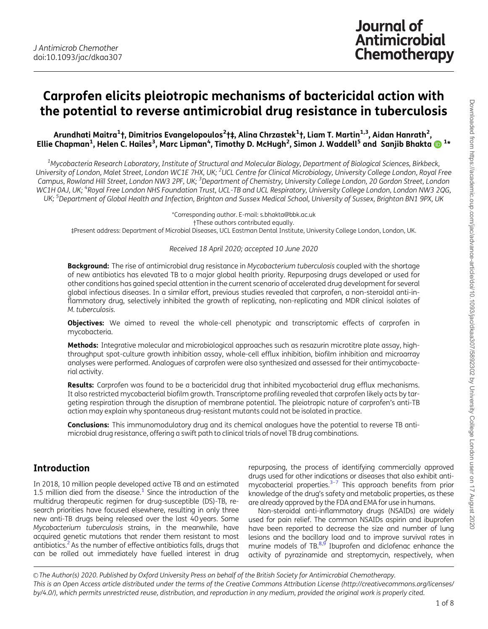# <span id="page-0-0"></span>Carprofen elicits pleiotropic mechanisms of bactericidal action with the potential to reverse antimicrobial drug resistance in tuberculosis

Arundhati Maitra<sup>1</sup>†, Dimitrios Evangelopoulos<sup>2</sup>†‡, Alina Chrzastek<sup>1</sup>†, Liam T. Martin<sup>1,3</sup>, Aidan Hanrath<sup>2</sup>, Ellie Chapman<sup>1</sup>, Helen C. Hailes<sup>3</sup>, Marc Lipman<sup>4</sup>, Timothy D. McHugh<sup>2</sup>, Simon J. Waddell<sup>5</sup> and Sanjib Bhakta **ID** 1\*

<sup>1</sup>Mycobacteria Research Laboratory, Institute of Structural and Molecular Biology, Department of Biological Sciences, Birkbeck, University of London, Malet Street, London WC1E 7HX, UK; <sup>2</sup>UCL Centre for Clinical Microbiology, University College London, Royal Free Campus, Rowland Hill Street, London NW3 2PF, UK; <sup>3</sup>Department of Chemistry, University College London, 20 Gordon Street, London WC1H 0AJ, UK; <sup>4</sup>Royal Free London NHS Foundation Trust, UCL-TB and UCL Respiratory, University College London, London NW3 2QG, UK; <sup>5</sup>Department of Global Health and Infection, Brighton and Sussex Medical School, University of Sussex, Brighton BN1 9PX, UK

\*Corresponding author. E-mail: s.bhakta@bbk.ac.uk

†These authors contributed equally.

‡Present address: Department of Microbial Diseases, UCL Eastman Dental Institute, University College London, London, UK.

#### Received 18 April 2020; accepted 10 June 2020

**Background:** The rise of antimicrobial drug resistance in Mycobacterium tuberculosis coupled with the shortage of new antibiotics has elevated TB to a major global health priority. Repurposing drugs developed or used for other conditions has gained special attention in the current scenario of accelerated drug development for several global infectious diseases. In a similar effort, previous studies revealed that carprofen, a non-steroidal anti-inflammatory drug, selectively inhibited the growth of replicating, non-replicating and MDR clinical isolates of M. tuberculosis.

**Objectives:** We aimed to reveal the whole-cell phenotypic and transcriptomic effects of carprofen in mycobacteria.

Methods: Integrative molecular and microbiological approaches such as resazurin microtitre plate assay, highthroughput spot-culture growth inhibition assay, whole-cell efflux inhibition, biofilm inhibition and microarray analyses were performed. Analogues of carprofen were also synthesized and assessed for their antimycobacterial activity.

Results: Carprofen was found to be a bactericidal drug that inhibited mycobacterial drug efflux mechanisms. It also restricted mycobacterial biofilm growth. Transcriptome profiling revealed that carprofen likely acts by targeting respiration through the disruption of membrane potential. The pleiotropic nature of carprofen's anti-TB action may explain why spontaneous drug-resistant mutants could not be isolated in practice.

**Conclusions:** This immunomodulatory drug and its chemical analogues have the potential to reverse TB antimicrobial drug resistance, offering a swift path to clinical trials of novel TB drug combinations.

### Introduction

In 2018, 10 million people developed active TB and an estimated 1.5 million died from the disease. $1$  Since the introduction of the multidrug therapeutic regimen for drug-susceptible (DS)-TB, research priorities have focused elsewhere, resulting in only three new anti-TB drugs being released over the last 40 years. Some Mycobacterium tuberculosis strains, in the meanwhile, have acquired genetic mutations that render them resistant to most antibiotics[.2](#page-6-0)As the number of effective antibiotics falls, drugs that can be rolled out immediately have fuelled interest in drug

repurposing, the process of identifying commercially approved drugs used for other indications or diseases that also exhibit antimycobacterial properties. $3-7$  This approach benefits from prior knowledge of the drug's safety and metabolic properties, as these are already approved by the FDA and EMA for use in humans.

Non-steroidal anti-inflammatory drugs (NSAIDs) are widely used for pain relief. The common NSAIDs aspirin and ibuprofen have been reported to decrease the size and number of lung lesions and the bacillary load and to improve survival rates in murine models of TB. $8,9$  Ibuprofen and diclofenac enhance the activity of pyrazinamide and streptomycin, respectively, when

© The Author(s) 2020. Published by Oxford University Press on behalf of the British Society for Antimicrobial Chemotherapy. This is an Open Access article distributed under the terms of the Creative Commons Attribution License (http://creativecommons.org/licenses/ by/4.0/), which permits unrestricted reuse, distribution, and reproduction in any medium, provided the original work is properly cited.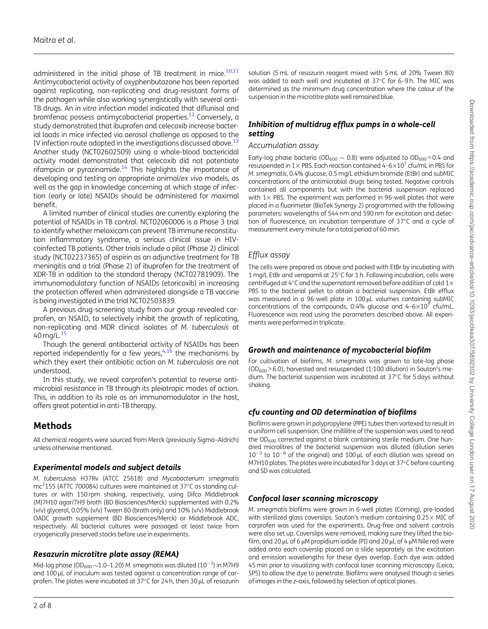<span id="page-1-0"></span>administered in the initial phase of TB treatment in mice. $10,11$ Antimycobacterial activity of oxyphenbutazone has been reported against replicating, non-replicating and drug-resistant forms of the pathogen while also working synergistically with several anti-TB drugs. An in vitro infection model indicated that diflunisal and bromfenac possess antimycobacterial properties.[12](#page-6-0) Conversely, a study demonstrated that ibuprofen and celecoxib increase bacterial loads in mice infected via aerosol challenge as opposed to the IV infection route adopted in the investigations discussed above.<sup>1</sup> Another study (NCT02602509) using a whole-blood bactericidal activity model demonstrated that celecoxib did not potentiate rifampicin or pyrazinamide. $14$  This highlights the importance of developing and testing on appropriate animal/ex vivo models, as well as the gap in knowledge concerning at which stage of infection (early or late) NSAIDs should be administered for maximal benefit.

A limited number of clinical studies are currently exploring the potential of NSAIDs in TB control. NCT02060006 is a Phase 3 trial to identify whether meloxicam can prevent TB immune reconstitution inflammatory syndrome, a serious clinical issue in HIVcoinfected TB patients. Other trials include a pilot (Phase 2) clinical study (NCT02237365) of aspirin as an adjunctive treatment for TB meningitis and a trial (Phase 2) of ibuprofen for the treatment of XDR-TB in addition to the standard therapy (NCT02781909). The immunomodulatory function of NSAIDs (etoricoxib) in increasing the protection offered when administered alongside a TB vaccine is being investigated in the trial NCT02503839.

A previous drug-screening study from our group revealed carprofen, an NSAID, to selectively inhibit the growth of replicating, non-replicating and MDR clinical isolates of M. tuberculosis at 40 mg/L.<sup>15</sup>

Though the general antibacterial activity of NSAIDs has been reported independently for a few years,  $4,16$  $4,16$  the mechanisms by which they exert their antibiotic action on M. tuberculosis are not understood.

In this study, we reveal carprofen's potential to reverse antimicrobial resistance in TB through its pleiotropic modes of action. This, in addition to its role as an immunomodulator in the host, offers great potential in anti-TB therapy.

# Methods

All chemical reagents were sourced from Merck (previously Sigma–Aldrich) unless otherwise mentioned.

#### Experimental models and subject details

M. tuberculosis H37Rv (ATCC 25618) and Mycobacterium smegmatis mc<sup>2</sup>155 (ATTC 700084) cultures were maintained at 37°C as standing cultures or with 150 rpm shaking, respectively, using Difco Middlebrook (M)7H10 agar/7H9 broth (BD Biosciences/Merck) supplemented with 0.2% (v/v) glycerol, 0.05% (v/v) Tween 80 (broth only) and 10% (v/v) Middlebrook OADC growth supplement (BD Biosciences/Merck) or Middlebrook ADC, respectively. All bacterial cultures were passaged at least twice from cryogenically preserved stocks before use in experiments.

#### Resazurin microtitre plate assay (REMA)

Mid-log phase (OD<sub>600</sub>  $\sim$ 1.0–1.20) M. smegmatis was diluted (10<sup>-3</sup>) in M7H9 and 100 µL of inoculum was tested against a concentration range of carprofen. The plates were incubated at 37°C for 24 h, then 30 µL of resazurin

solution (5 mL of resazurin reagent mixed with 5 mL of 20% Tween 80) was added to each well and incubated at 37°C for 6-9h. The MIC was determined as the minimum drug concentration where the colour of the suspension in the microtitre plate well remained blue.

#### Inhibition of multidrug efflux pumps in a whole-cell setting

#### Accumulation assay

Early-log phase bacteria (OD<sub>600</sub>  $\sim$  0.8) were adjusted to OD<sub>600</sub> = 0.4 and resuspended in  $1 \times$  PBS. Each reaction contained 4–6 $\times 10^7$  cfu/mL in PBS for M. smegmatis, 0.4% glucose, 0.5 mg/L ethidium bromide (EtBr) and subMIC concentrations of the antimicrobial drugs being tested. Negative controls contained all components but with the bacterial suspension replaced with  $1 \times$  PBS. The experiment was performed in 96-well plates that were placed in a fluorimeter (BioTek Synergy 2) programmed with the following parameters: wavelengths of 544 nm and 590 nm for excitation and detection of fluorescence, an incubation temperature of 37°C and a cycle of measurement every minute for a total period of 60 min.

### Efflux assay

The cells were prepared as above and packed with EtBr by incubating with 1 mg/L EtBr and verapamil at 25°C for 1 h. Following incubation, cells were centrifuged at 4°C and the supernatant removed before addition of cold  $1\times$ PBS to the bacterial pellet to obtain a bacterial suspension. EtBr efflux was measured in a 96-well plate in 100 µL volumes containing subMIC concentrations of the compounds, 0.4% glucose and  $4-6\times10^{7}$  cfu/mL. Fluorescence was read using the parameters described above. All experiments were performed in triplicate.

#### Growth and maintenance of mycobacterial biofilm

For cultivation of biofilms, M. smegmatis was grown to late-log phase  $(OD<sub>600</sub> > 6.0)$ , harvested and resuspended (1:100 dilution) in Sauton's medium. The bacterial suspension was incubated at 37°C for 5 days without shaking.

### cfu counting and OD determination of biofilms

Biofilms were grown in polypropylene (PPE) tubes then vortexed to result in a uniform cell suspension. One millilitre of the suspension was used to read the  $OD_{600}$  corrected against a blank containing sterile medium. One hundred microlitres of the bacterial suspension was diluted (dilution series  $10^{-3}$  to  $10^{-8}$  of the original) and  $100 \,\mu$ L of each dilution was spread on M7H10 plates. The plates were incubated for 3 days at 37°C before counting and SD was calculated.

#### Confocal laser scanning microscopy

M. smegmatis biofilms were grown in 6-well plates (Corning), pre-loaded with sterilized glass coverslips. Sauton's medium containing 0.25% MIC of carprofen was used for the experiments. Drug-free and solvent controls were also set up. Coverslips were removed, making sure they lifted the biofilm, and 20  $\mu$ L of 6  $\mu$ M propidium iodide (PI) and 20  $\mu$ L of 4  $\mu$ M Nile red were added onto each coverslip placed on a slide separately as the excitation and emission wavelengths for these dyes overlap. Each dye was added 45 min prior to visualizing with confocal laser scanning microscopy (Leica, SP5) to allow the dye to penetrate. Biofilms were analysed though a series of images in the z-axis, followed by selection of optical planes.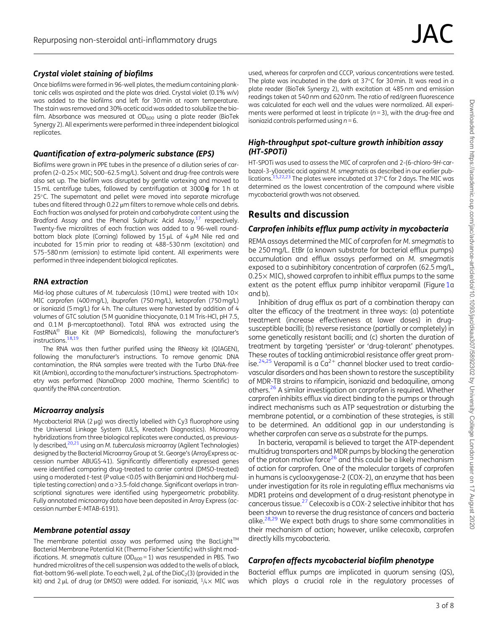#### <span id="page-2-0"></span>Crystal violet staining of biofilms

Once biofilms were formed in 96-well plates, the medium containing planktonic cells was aspirated and the plate was dried. Crystal violet (0.1% w/v) was added to the biofilms and left for 30 min at room temperature. The stain was removed and 30% acetic acid was added to solubilize the biofilm. Absorbance was measured at  $OD_{600}$  using a plate reader (BioTek Synergy 2). All experiments were performed in three independent biological replicates.

#### Quantification of extra-polymeric substance (EPS)

Biofilms were grown in PPE tubes in the presence of a dilution series of carprofen (2–0.25% MIC; 500–62.5 mg/L). Solvent and drug-free controls were also set up. The biofilm was disrupted by gentle vortexing and moved to 15 mL centrifuge tubes, followed by centrifugation at 3000 **g** for 1 h at 25°C. The supernatant and pellet were moved into separate microfuge tubes and filtered through 0.22 µm filters to remove whole cells and debris. Each fraction was analysed for protein and carbohydrate content using the Bradford Assay and the Phenol Sulphuric Acid Assay, $17$  respectively. Twenty-five microlitres of each fraction was added to a 96-well roundbottom black plate (Corning) followed by  $15 \mu L$  of  $4 \mu M$  Nile red and incubated for 15 min prior to reading at 488–530 nm (excitation) and 575–580 nm (emission) to estimate lipid content. All experiments were performed in three independent biological replicates.

#### RNA extraction

Mid-log phase cultures of M. tuberculosis (10 mL) were treated with  $10\times$ MIC carprofen (400 mg/L), ibuprofen (750 mg/L), ketoprofen (750 mg/L) or isoniazid (5 mg/L) for 4 h. The cultures were harvested by addition of 4 volumes of GTC solution (5 M guanidine thiocyanate, 0.1 M Tris-HCl, pH 7.5, and  $0.1$  M  $\beta$ -mercaptoethanol). Total RNA was extracted using the FastRNA® Blue Kit (MP Biomedicals), following the manufacturer's instructions.<sup>18,19</sup>

The RNA was then further purified using the RNeasy kit (QIAGEN), following the manufacturer's instructions. To remove genomic DNA contamination, the RNA samples were treated with the Turbo DNA-free Kit (Ambion), according to the manufacturer's instructions. Spectrophotometry was performed (NanoDrop 2000 machine, Thermo Scientific) to quantify the RNA concentration.

#### Microarray analysis

Mycobacterial RNA ( $2 \mu$ g) was directly labelled with Cy3 fluorophore using the Universal Linkage System (ULS, Kreatech Diagnostics). Microarray hybridizations from three biological replicates were conducted, as previous-ly described,<sup>[20](#page-7-0),[21](#page-7-0)</sup> using an *M. tuberculosis* microarray (Agilent Technologies) designed by the Bacterial Microarray Group at St. George's (ArrayExpress accession number ABUGS-41). Significantly differentially expressed genes were identified comparing drug-treated to carrier control (DMSO-treated) using a moderated t-test (P value <0.05 with Benjamini and Hochberg multiple testing correction) and a >3.5-fold change. Significant overlaps in transcriptional signatures were identified using hypergeometric probability. Fully annotated microarray data have been deposited in Array Express (accession number E-MTAB-6191).

#### Membrane potential assay

The membrane potential assay was performed using the BacLight<sup>TM</sup> Bacterial Membrane Potential Kit (Thermo Fisher Scientific) with slight modifications. M. smegmatis culture ( $OD<sub>600</sub> = 1$ ) was resuspended in PBS. Two hundred microlitres of the cell suspension was added to the wells of a black, flat-bottom 96-well plate. To each well, 2  $\mu$ L of the DioC<sub>2</sub>(3) (provided in the kit) and 2 µL of drug (or DMSO) were added. For isoniazid,  $1/4 \times$  MIC was

used, whereas for carprofen and CCCP, various concentrations were tested. The plate was incubated in the dark at 37°C for 30 min. It was read in a plate reader (BioTek Synergy 2), with excitation at 485 nm and emission readings taken at 540 nm and 620 nm. The ratio of red/green fluorescence was calculated for each well and the values were normalized. All experiments were performed at least in triplicate ( $n = 3$ ), with the drug-free and isoniazid controls performed using  $n = 6$ .

#### High-throughput spot-culture growth inhibition assay (HT-SPOTi)

HT-SPOTi was used to assess the MIC of carprofen and 2-(6-chloro-9H-carbazol-3-yl)acetic acid against M. smegmatis as described in our earlier pub-lications.<sup>15[,22,23](#page-7-0)</sup> The plates were incubated at 37°C for 2 days. The MIC was determined as the lowest concentration of the compound where visible mycobacterial growth was not observed.

# Results and discussion

#### Carprofen inhibits efflux pump activity in mycobacteria

REMA assays determined the MIC of carprofen for M. smegmatis to be 250 mg/L. EtBr (a known substrate for bacterial efflux pumps) accumulation and efflux assays performed on M. smegmatis exposed to a subinhibitory concentration of carprofen (62.5 mg/L, 0.25% MIC), showed carprofen to inhibit efflux pumps to the same extent as the potent efflux pump inhibitor verapamil (Figure [1a](#page-3-0) and b).

Inhibition of drug efflux as part of a combination therapy can alter the efficacy of the treatment in three ways: (a) potentiate treatment (increase effectiveness at lower doses) in drugsusceptible bacilli; (b) reverse resistance (partially or completely) in some genetically resistant bacilli; and (c) shorten the duration of treatment by targeting 'persister' or 'drug-tolerant' phenotypes. These routes of tackling antimicrobial resistance offer great prom-ise.<sup>[24](#page-7-0),[25](#page-7-0)</sup> Verapamil is a  $Ca^{2+}$  channel blocker used to treat cardiovascular disorders and has been shown to restore the susceptibility of MDR-TB strains to rifampicin, isoniazid and bedaquiline, among others.<sup>26</sup> A similar investigation on carprofen is required. Whether carprofen inhibits efflux via direct binding to the pumps or through indirect mechanisms such as ATP sequestration or disturbing the membrane potential, or a combination of these strategies, is still to be determined. An additional gap in our understanding is whether carprofen can serve as a substrate for the pumps.

In bacteria, verapamil is believed to target the ATP-dependent multidrug transporters and MDR pumps by blocking the generation of the proton motive force<sup>26</sup> and this could be a likely mechanism of action for carprofen. One of the molecular targets of carprofen in humans is cyclooxygenase-2 (COX-2), an enzyme that has been under investigation for its role in regulating efflux mechanisms via MDR1 proteins and development of a drug-resistant phenotype in cancerous tissue.[27](#page-7-0) Celecoxib is a COX-2 selective inhibitor that has been shown to reverse the drug resistance of cancers and bacteria alike.<sup>28,29</sup> We expect both drugs to share some commonalities in their mechanism of action; however, unlike celecoxib, carprofen directly kills mycobacteria.

### Carprofen affects mycobacterial biofilm phenotype

Bacterial efflux pumps are implicated in quorum sensing (QS), which plays a crucial role in the regulatory processes of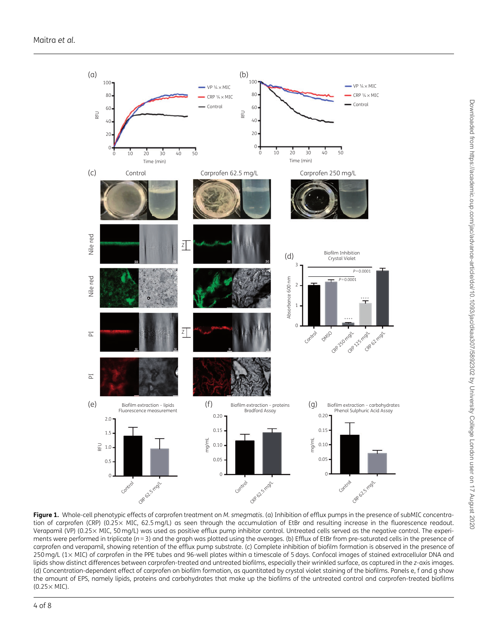<span id="page-3-0"></span>

Figure 1. Whole-cell phenotypic effects of carprofen treatment on M. smegmatis. (a) Inhibition of efflux pumps in the presence of subMIC concentration of carprofen (CRP) (0.25% MIC, 62.5 mg/L) as seen through the accumulation of EtBr and resulting increase in the fluorescence readout. Verapamil (VP) (0.25% MIC, 50 mg/L) was used as positive efflux pump inhibitor control. Untreated cells served as the negative control. The experiments were performed in triplicate ( $n = 3$ ) and the graph was plotted using the averages. (b) Efflux of EtBr from pre-saturated cells in the presence of carprofen and verapamil, showing retention of the efflux pump substrate. (c) Complete inhibition of biofilm formation is observed in the presence of 250 mg/L (1x MIC) of carprofen in the PPE tubes and 96-well plates within a timescale of 5 days. Confocal images of stained extracellular DNA and lipids show distinct differences between carprofen-treated and untreated biofilms, especially their wrinkled surface, as captured in the z-axis images. (d) Concentration-dependent effect of carprofen on biofilm formation, as quantitated by crystal violet staining of the biofilms. Panels e, f and g show the amount of EPS, namely lipids, proteins and carbohydrates that make up the biofilms of the untreated control and carprofen-treated biofilms  $(0.25 \times$  MIC).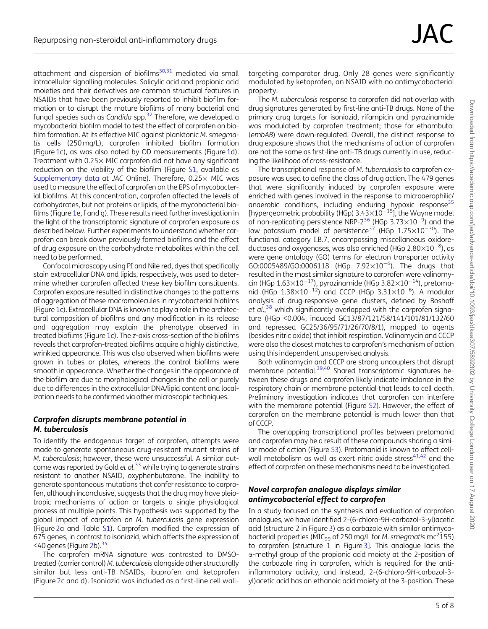<span id="page-4-0"></span>attachment and dispersion of biofilms $30,31$  $30,31$  $30,31$  mediated via small intracellular signalling molecules. Salicylic acid and propionic acid moieties and their derivatives are common structural features in NSAIDs that have been previously reported to inhibit biofilm formation or to disrupt the mature biofilms of many bacterial and fungal species such as Candida spp[.32](#page-7-0) Therefore, we developed a mycobacterial biofilm model to test the effect of carprofen on biofilm formation. At its effective MIC against planktonic M. smegmatis cells (250 mg/L), carprofen inhibited biofilm formation (Figure [1](#page-3-0)c), as was also noted by OD measurements (Figure [1d](#page-3-0)). Treatment with 0.25% MIC carprofen did not have any significant reduction on the viability of the biofilm (Figure [S1](https://academic.oup.com/jac/article-lookup/doi/10.1093/jac/dkaa307#supplementary-data), available as [Supplementary data](https://academic.oup.com/jac/article-lookup/doi/10.1093/jac/dkaa307#supplementary-data) at JAC Online). Therefore, 0.25% MIC was used to measure the effect of carprofen on the EPS of mycobacterial biofilms. At this concentration, carprofen affected the levels of carbohydrates, but not proteins or lipids, of the mycobacterial biofilms (Figure [1](#page-3-0)e, f and g). These results need further investigation in the light of the transcriptomic signature of carprofen exposure as described below. Further experiments to understand whether carprofen can break down previously formed biofilms and the effect of drug exposure on the carbohydrate metabolites within the cell need to be performed.

Confocal microscopy using PI and Nile red, dyes that specifically stain extracellular DNA and lipids, respectively, was used to determine whether carprofen affected these key biofilm constituents. Carprofen exposure resulted in distinctive changes to the patterns of aggregation of these macromolecules in mycobacterial biofilms (Figure [1](#page-3-0)c). Extracellular DNA is known to play a role in the architectural composition of biofilms and any modification in its release and aggregation may explain the phenotype observed in treated biofilms (Figure [1](#page-3-0)c). The z-axis cross-section of the biofilms reveals that carprofen-treated biofilms acquire a highly distinctive, wrinkled appearance. This was also observed when biofilms were grown in tubes or plates, whereas the control biofilms were smooth in appearance. Whether the changes in the appearance of the biofilm are due to morphological changes in the cell or purely due to differences in the extracellular DNA/lipid content and localization needs to be confirmed via other microscopic techniques.

#### Carprofen disrupts membrane potential in M. tuberculosis

To identify the endogenous target of carprofen, attempts were made to generate spontaneous drug-resistant mutant strains of M. tuberculosis; however, these were unsuccessful. A similar outcome was reported by Gold et al. $33$  while trying to generate strains resistant to another NSAID, oxyphenbutazone. The inability to generate spontaneous mutations that confer resistance to carprofen, although inconclusive, suggests that the drug may have pleiotropic mechanisms of action or targets a single physiological process at multiple points. This hypothesis was supported by the global impact of carprofen on M. tuberculosis gene expression (Figure [2](#page-5-0)a and Table [S1\)](https://academic.oup.com/jac/article-lookup/doi/10.1093/jac/dkaa307#supplementary-data). Carprofen modified the expression of 675 genes, in contrast to isoniazid, which affects the expression of  $<$ 40 genes (Figure [2b](#page-5-0)).  $34$ 

The carprofen mRNA signature was contrasted to DMSOtreated (carrier control) M. tuberculosis alongside other structurally similar but less anti-TB NSAIDs, ibuprofen and ketoprofen (Figure [2c](#page-5-0) and d). Isoniazid was included as a first-line cell wall-

targeting comparator drug. Only 28 genes were significantly modulated by ketoprofen, an NSAID with no antimycobacterial property.

The M. tuberculosis response to carprofen did not overlap with drug signatures generated by first-line anti-TB drugs. None of the primary drug targets for isoniazid, rifampicin and pyrazinamide was modulated by carprofen treatment; those for ethambutol (embAB) were down-regulated. Overall, the distinct response to drug exposure shows that the mechanisms of action of carprofen are not the same as first-line anti-TB drugs currently in use, reducing the likelihood of cross-resistance.

The transcriptional response of M. tuberculosis to carprofen exposure was used to define the class of drug action. The 479 genes that were significantly induced by carprofen exposure were enriched with genes involved in the response to microaerophilic/ anaerobic conditions, including enduring hypoxic response<sup>35</sup> [hypergeometric probability (HGp)  $3.43\times10^{-15}$ ], the Wayne model of non-replicating persistence NRP-2<sup>[36](#page-7-0)</sup> (HGp 3.73 $\times$ 10<sup>-3</sup>) and the<br>low potassium model of persistence<sup>37</sup> (HGp 1.75 $\times$ 10<sup>-30</sup>). The functional category I.B.7, encompassing miscellaneous oxidoreductases and oxygenases, was also enriched (HGp 2.80 $\times$ 10<sup>-8</sup>), as were gene ontology (GO) terms for electron transporter activity  $GO:0005489/GO:0006118$  (HGp  $7.92\times10^{-6}$ ). The drugs that resulted in the most similar signature to carprofen were valinomycin (HGp  $1.63\times10^{-17}$ ), pyrazinamide (HGp  $3.82\times10^{-14}$ ), pretomanid (HGp  $1.38 \times 10^{-12}$ ) and CCCP (HGp  $3.31 \times 10^{-6}$ ). A modular analysis of drug-responsive gene clusters, defined by Boshoff et al.,<sup>[38](#page-7-0)</sup> which significantly overlapped with the carprofen signature (HGp <0.004, induced GC13/87/121/58/141/101/81/132/60 and repressed GC25/36/95/71/26/70/8/1), mapped to agents (besides nitric oxide) that inhibit respiration. Valinomycin and CCCP were also the closest matches to carprofen's mechanism of action using this independent unsupervised analysis.

Both valinomycin and CCCP are strong uncouplers that disrupt membrane potential.<sup>[39](#page-7-0),[40](#page-7-0)</sup> Shared transcriptomic signatures between these drugs and carprofen likely indicate imbalance in the respiratory chain or membrane potential that leads to cell death. Preliminary investigation indicates that carprofen can interfere with the membrane potential (Figure [S2\)](https://academic.oup.com/jac/article-lookup/doi/10.1093/jac/dkaa307#supplementary-data). However, the effect of carprofen on the membrane potential is much lower than that of CCCP.

The overlapping transcriptional profiles between pretomanid and carprofen may be a result of these compounds sharing a similar mode of action (Figure [S3](https://academic.oup.com/jac/article-lookup/doi/10.1093/jac/dkaa307#supplementary-data)). Pretomanid is known to affect cellwall metabolism as well as exert nitric oxide stress $41,42$  and the effect of carprofen on these mechanisms need to be investigated.

#### Novel carprofen analogue displays similar antimycobacterial effect to carprofen

In a study focused on the synthesis and evaluation of carprofen analogues, we have identified 2-(6-chloro-9H-carbazol-3-yl)acetic acid (structure 2 in Figure [3\)](#page-6-0) as a carbazole with similar antimycobacterial properties ( $\overline{MIC_{99}}$  of 250 mg/L for M. smegmatis mc<sup>2</sup>155) to carprofen [structure 1 in Figure [3\]](#page-6-0). This analogue lacks the a-methyl group of the propionic acid moiety at the 2-position of the carbazole ring in carprofen, which is required for the antiinflammatory activity, and instead, 2-(6-chloro-9H-carbazol-3 yl)acetic acid has an ethanoic acid moiety at the 3-position. These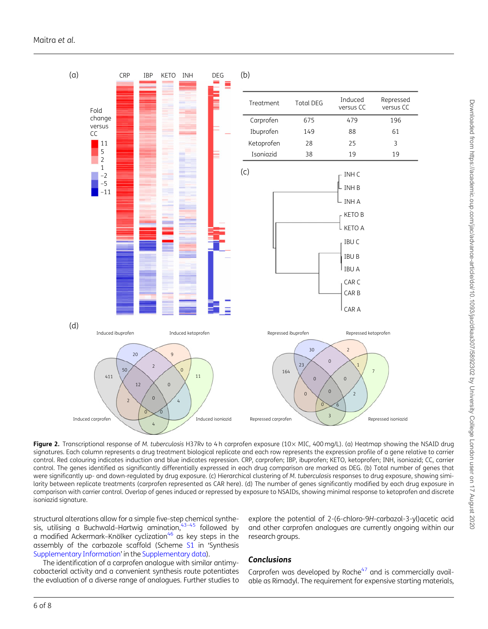<span id="page-5-0"></span>

Downloaded from https://academic.oup.com/jac/advance-artide/doi/10.1093/jac/dkaa307/5892302 by University College London user on 17 August 2020 Downloaded from https://academic.oup.com/jac/advance-article/doi/10.1093/jac/dkaa307/5892302 by University College London user on 17 August 2020

Figure 2. Transcriptional response of M. tuberculosis H37Rv to 4 h carprofen exposure (10× MIC, 400 mg/L). (a) Heatmap showing the NSAID drug signatures. Each column represents a drug treatment biological replicate and each row represents the expression profile of a gene relative to carrier control. Red colouring indicates induction and blue indicates repression. CRP, carprofen; IBP, ibuprofen; KETO, ketoprofen; INH, isoniazid; CC, carrier control. The genes identified as significantly differentially expressed in each drug comparison are marked as DEG. (b) Total number of genes that were significantly up- and down-regulated by drug exposure. (c) Hierarchical clustering of M. tuberculosis responses to drug exposure, showing similarity between replicate treatments (carprofen represented as CAR here). (d) The number of genes significantly modified by each drug exposure in comparison with carrier control. Overlap of genes induced or repressed by exposure to NSAIDs, showing minimal response to ketoprofen and discrete isoniazid signature.

structural alterations allow for a simple five-step chemical synthesis, utilising a Buchwald–Hartwig amination,  $43-45$  followed by a modified Ackermark-Knölker cyclization<sup>46</sup> as key steps in the assembly of the carbazole scaffold (Scheme [S1](https://academic.oup.com/jac/article-lookup/doi/10.1093/jac/dkaa307#supplementary-data) in 'Synthesis [Supplementary Information](https://academic.oup.com/jac/article-lookup/doi/10.1093/jac/dkaa307#supplementary-data)' in the [Supplementary data\)](https://academic.oup.com/jac/article-lookup/doi/10.1093/jac/dkaa307#supplementary-data).

The identification of a carprofen analogue with similar antimycobacterial activity and a convenient synthesis route potentiates the evaluation of a diverse range of analogues. Further studies to

explore the potential of 2-(6-chloro-9H-carbazol-3-yl)acetic acid and other carprofen analogues are currently ongoing within our research groups.

#### **Conclusions**

Carprofen was developed by Roche $47$  and is commercially available as Rimadyl. The requirement for expensive starting materials,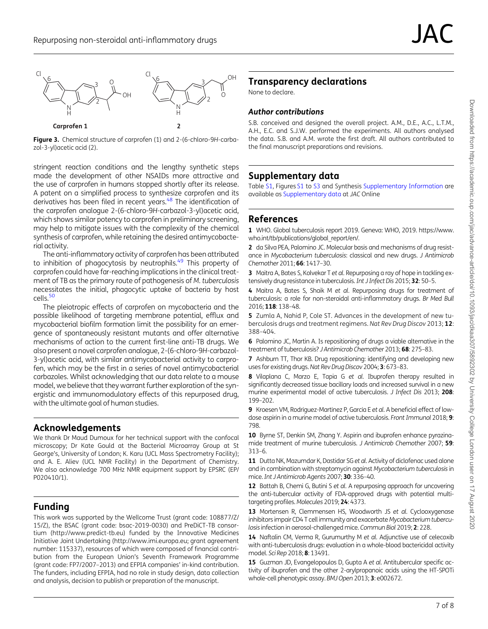<span id="page-6-0"></span>



stringent reaction conditions and the lengthy synthetic steps made the development of other NSAIDs more attractive and the use of carprofen in humans stopped shortly after its release. A patent on a simplified process to synthesize carprofen and its derivatives has been filed in recent years.<sup>48</sup> The identification of the carprofen analogue 2-(6-chloro-9H-carbazol-3-yl)acetic acid, which shows similar potency to carprofen in preliminary screening, may help to mitigate issues with the complexity of the chemical synthesis of carprofen, while retaining the desired antimycobacterial activity.

The anti-inflammatory activity of carprofen has been attributed to inhibition of phagocytosis by neutrophils.<sup>[49](#page-7-0)</sup> This property of carprofen could have far-reaching implications in the clinical treatment of TB as the primary route of pathogenesis of M. tuberculosis necessitates the initial, phagocytic uptake of bacteria by host cells.<sup>50</sup>

The pleiotropic effects of carprofen on mycobacteria and the possible likelihood of targeting membrane potential, efflux and mycobacterial biofilm formation limit the possibility for an emergence of spontaneously resistant mutants and offer alternative mechanisms of action to the current first-line anti-TB drugs. We also present a novel carprofen analogue, 2-(6-chloro-9H-carbazol-3-yl)acetic acid, with similar antimycobacterial activity to carprofen, which may be the first in a series of novel antimycobacterial carbazoles. Whilst acknowledging that our data relate to a mouse model, we believe that they warrant further exploration of the synergistic and immunomodulatory effects of this repurposed drug, with the ultimate goal of human studies.

### Acknowledgements

We thank Dr Maud Dumoux for her technical support with the confocal microscopy; Dr Kate Gould at the Bacterial Microarray Group at St George's, University of London; K. Karu (UCL Mass Spectrometry Facility); and A. E. Aliev (UCL NMR Facility) in the Department of Chemistry. We also acknowledge 700 MHz NMR equipment support by EPSRC (EP/ P020410/1).

# Funding

This work was supported by the Wellcome Trust (grant code: 108877/Z/ 15/Z), the BSAC (grant code: bsac-2019-0030) and PreDiCT-TB consortium (http://www.predict-tb.eu) funded by the Innovative Medicines Initiative Joint Undertaking (http://www.imi.europa.eu; grant agreement number: 115337), resources of which were composed of financial contribution from the European Union's Seventh Framework Programme (grant code: FP7/2007–2013) and EFPIA companies' in-kind contribution. The funders, including EFPIA, had no role in study design, data collection and analysis, decision to publish or preparation of the manuscript.

# Transparency declarations

None to declare.

#### Author contributions

S.B. conceived and designed the overall project. A.M., D.E., A.C., L.T.M., A.H., E.C. and S.J.W. performed the experiments. All authors analysed the data. S.B. and A.M. wrote the first draft. All authors contributed to the final manuscript preparations and revisions.

# Supplementary data

Table [S1](https://academic.oup.com/jac/article-lookup/doi/10.1093/jac/dkaa307#supplementary-data), Figures [S1](https://academic.oup.com/jac/article-lookup/doi/10.1093/jac/dkaa307#supplementary-data) to [S3](https://academic.oup.com/jac/article-lookup/doi/10.1093/jac/dkaa307#supplementary-data) and Synthesis [Supplementary Information](https://academic.oup.com/jac/article-lookup/doi/10.1093/jac/dkaa307#supplementary-data) are available as [Supplementary data](https://academic.oup.com/jac/article-lookup/doi/10.1093/jac/dkaa307#supplementary-data) at JAC Online

### References

[1](#page-0-0) WHO. Global tuberculosis report 2019. Geneva: WHO, 2019. [https://www.](https://www.who.int/tb/publications/global_report/en/) [who.int/tb/publications/global\\_report/en/.](https://www.who.int/tb/publications/global_report/en/)

[2](#page-0-0) da Silva PEA, Palomino JC. Molecular basis and mechanisms of drug resistance in Mycobacterium tuberculosis: classical and new drugs. J Antimicrob Chemother 2011; 66: 1417–30.

3 Maitra A, Bates S, Kolvekar T et al. Repurposing a ray of hope in tackling extensively drug resistance in tuberculosis. Int J Infect Dis 2015; 32: 50-5.

[4](#page-1-0) Maitra A, Bates S, Shaik M et al. Repurposing drugs for treatment of tuberculosis: a role for non-steroidal anti-inflammatory drugs. Br Med Bull 2016; 118: 138–48.

5 Zumla A, Nahid P, Cole ST. Advances in the development of new tuberculosis drugs and treatment regimens. Nat Rev Drug Discov 2013; 12: 388–404.

6 Palomino JC, Martin A. Is repositioning of drugs a viable alternative in the treatment of tuberculosis? J Antimicrob Chemother 2013; 68: 275–83.

7 Ashburn TT, Thor KB. Drug repositioning: identifying and developing new uses for existing drugs. Nat Rev Drug Discov 2004; 3: 673-83.

[8](#page-0-0) Vilaplana C, Marzo E, Tapia G et al. Ibuprofen therapy resulted in significantly decreased tissue bacillary loads and increased survival in a new murine experimental model of active tuberculosis. J Infect Dis 2013; 208: 199–202.

[9](#page-0-0) Kroesen VM, Rodríquez-Martínez P, García E et al. A beneficial effect of lowdose aspirin in a murine model of active tuberculosis. Front Immunol 2018; 9: 798.

[10](#page-1-0) Byrne ST, Denkin SM, Zhang Y. Aspirin and ibuprofen enhance pyrazinamide treatment of murine tuberculosis. J Antimicrob Chemother 2007; 59: 313–6.

[11](#page-1-0) Dutta NK, Mazumdar K, Dastidar SG et al. Activity of diclofenac used alone and in combination with streptomycin against Mycobacterium tuberculosis in mice.Int J Antimicrob Agents 2007; 30: 336–40.

[12](#page-1-0) Battah B, Chemi G, Butini S et al. A repurposing approach for uncovering the anti-tubercular activity of FDA-approved drugs with potential multitargeting profiles. Molecules 2019; 24: 4373.

[13](#page-1-0) Mortensen R, Clemmensen HS, Woodworth JS et al. Cyclooxygenase inhibitors impair CD4 T cell immunity and exacerbate Mycobacterium tuberculosis infection in aerosol-challenged mice. Commun Biol 2019; 2: 228.

[14](#page-1-0) Naftalin CM, Verma R, Gurumurthy M et al. Adjunctive use of celecoxib with anti-tuberculosis drugs: evaluation in a whole-blood bactericidal activity model. Sci Rep 2018; 8: 13491.

[15](#page-1-0) Guzman JD, Evangelopoulos D, Gupta A et al. Antitubercular specific activity of ibuprofen and the other 2-arylpropanoic acids using the HT-SPOTi whole-cell phenotypic assay. BMJ Open 2013; 3: e002672.